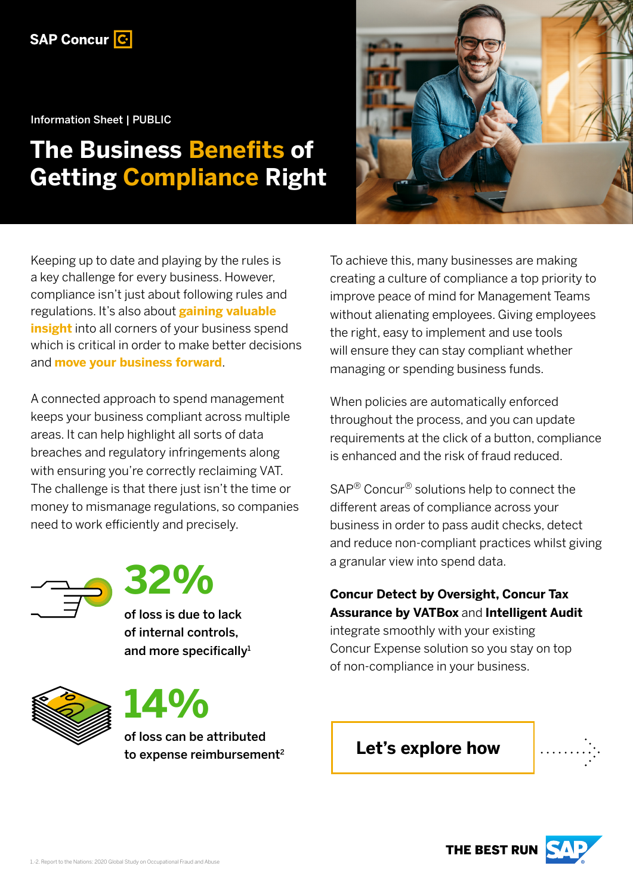

Information Sheet | PUBLIC

# **The Business Benefits of Getting Compliance Right**



Keeping up to date and playing by the rules is a key challenge for every business. However, compliance isn't just about following rules and regulations. It's also about **gaining valuable insight** into all corners of your business spend which is critical in order to make better decisions and **move your business forward**.

A connected approach to spend management keeps your business compliant across multiple areas. It can help highlight all sorts of data breaches and regulatory infringements along with ensuring you're correctly reclaiming VAT. The challenge is that there just isn't the time or money to mismanage regulations, so companies need to work efficiently and precisely.





of loss is due to lack of internal controls, and more specifically<sup>1</sup>





of loss can be attributed to expense reimbursement<sup>2</sup> To achieve this, many businesses are making creating a culture of compliance a top priority to improve peace of mind for Management Teams without alienating employees. Giving employees the right, easy to implement and use tools will ensure they can stay compliant whether managing or spending business funds.

When policies are automatically enforced throughout the process, and you can update requirements at the click of a button, compliance is enhanced and the risk of fraud reduced.

SAP® Concur® solutions help to connect the different areas of compliance across your business in order to pass audit checks, detect and reduce non-compliant practices whilst giving a granular view into spend data.

#### **Concur Detect by Oversight, Concur Tax Assurance by VATBox** and **Intelligent Audit** integrate smoothly with your existing

Concur Expense solution so you stay on top of non-compliance in your business.